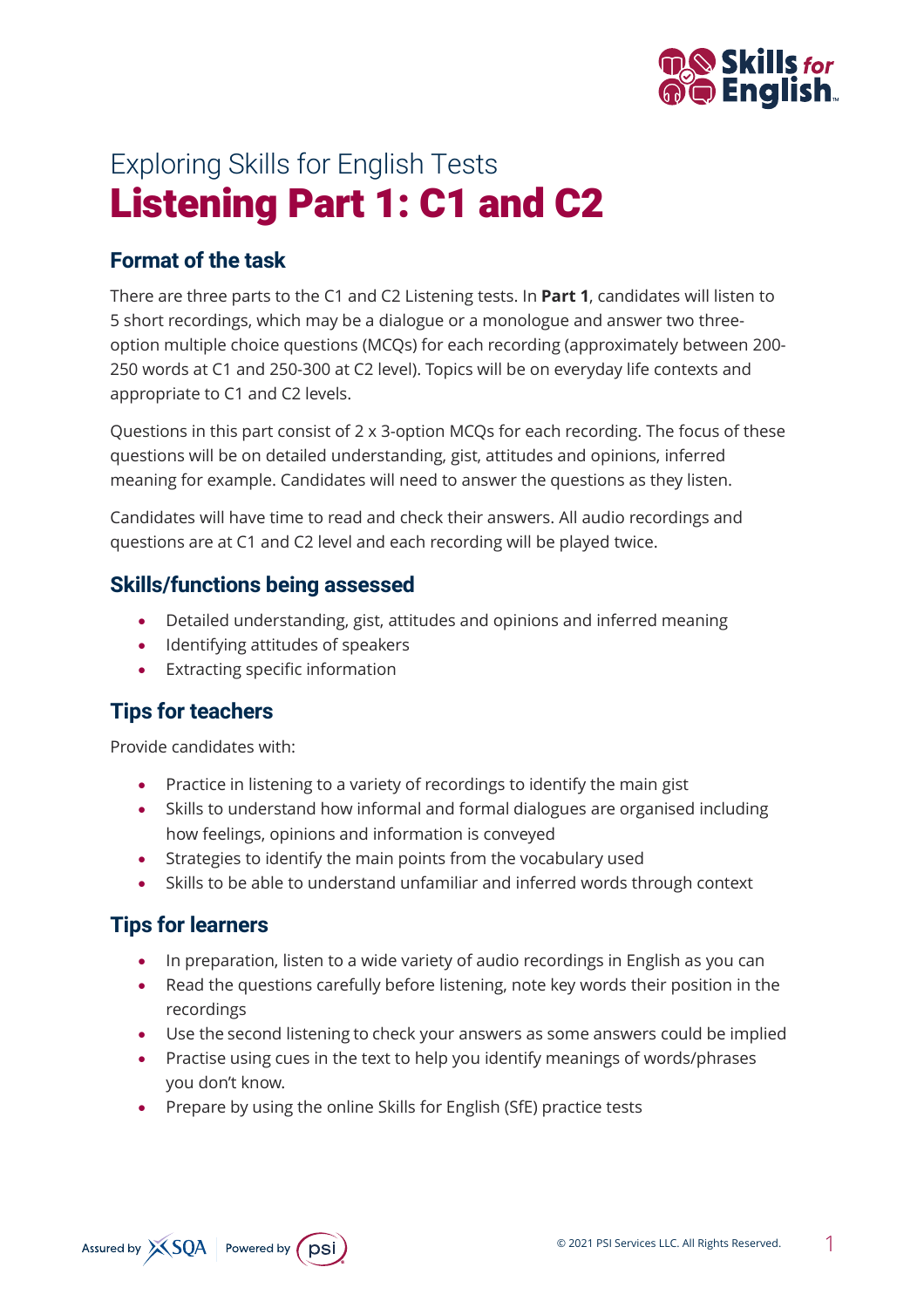

# Exploring Skills for English Tests Listening Part 1: C1 and C2

## **Format of the task**

There are three parts to the C1 and C2 Listening tests. In **Part 1**, candidates will listen to 5 short recordings, which may be a dialogue or a monologue and answer two threeoption multiple choice questions (MCQs) for each recording (approximately between 200- 250 words at C1 and 250-300 at C2 level). Topics will be on everyday life contexts and appropriate to C1 and C2 levels.

Questions in this part consist of 2 x 3-option MCQs for each recording. The focus of these questions will be on detailed understanding, gist, attitudes and opinions, inferred meaning for example. Candidates will need to answer the questions as they listen.

Candidates will have time to read and check their answers. All audio recordings and questions are at C1 and C2 level and each recording will be played twice.

#### **Skills/functions being assessed**

- Detailed understanding, gist, attitudes and opinions and inferred meaning
- Identifying attitudes of speakers
- Extracting specific information

## **Tips for teachers**

Provide candidates with:

- Practice in listening to a variety of recordings to identify the main gist
- Skills to understand how informal and formal dialogues are organised including how feelings, opinions and information is conveyed
- Strategies to identify the main points from the vocabulary used
- Skills to be able to understand unfamiliar and inferred words through context

## **Tips for learners**

- In preparation, listen to a wide variety of audio recordings in English as you can
- Read the questions carefully before listening, note key words their position in the recordings
- Use the second listening to check your answers as some answers could be implied
- Practise using cues in the text to help you identify meanings of words/phrases you don't know.
- Prepare by using the online Skills for English (SfE) practice tests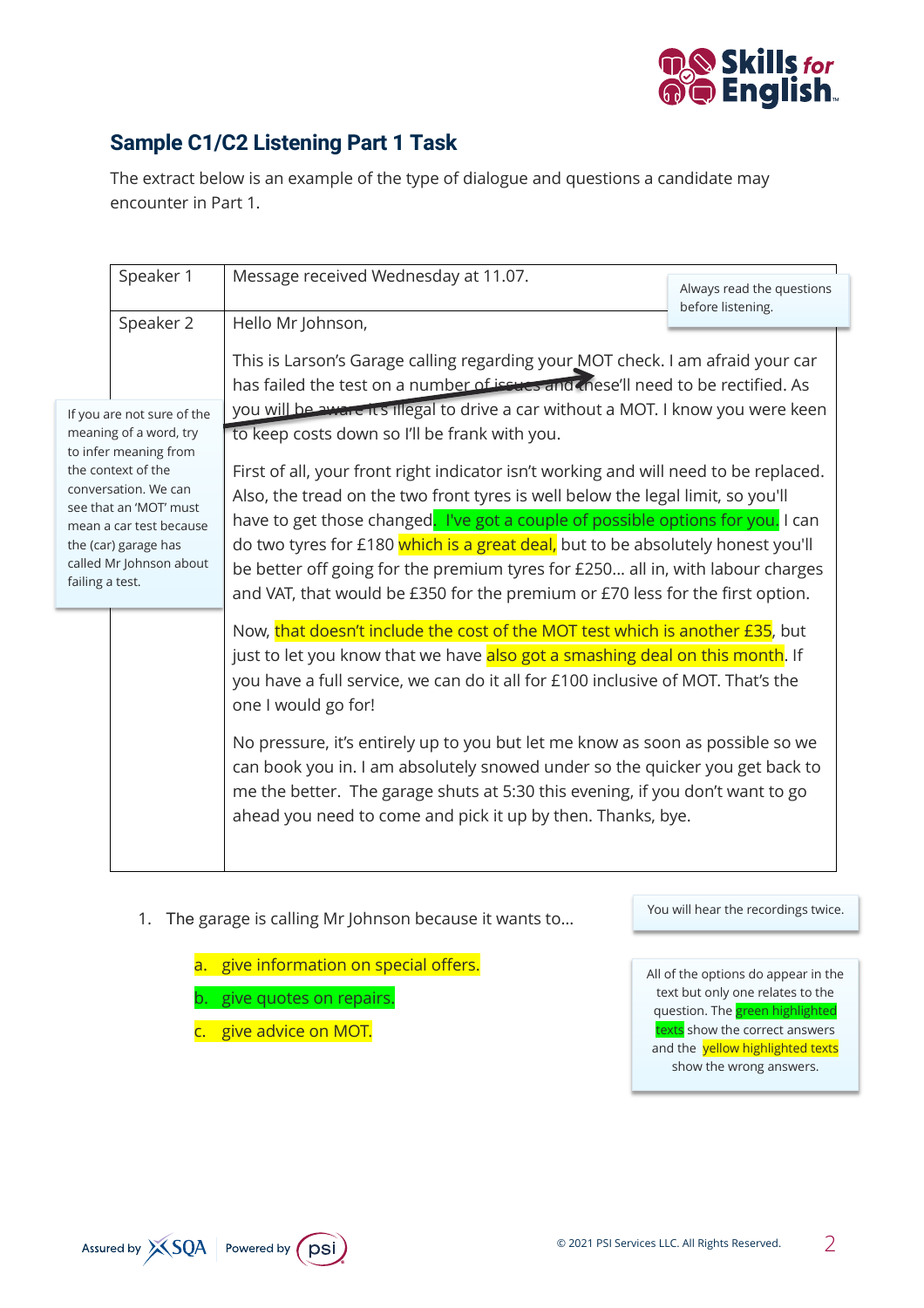

# **Sample C1/C2 Listening Part 1 Task**

The extract below is an example of the type of dialogue and questions a candidate may encounter in Part 1.

|                                                                                                                                                                                                                                                        | Speaker 1<br>Speaker 2 | Message received Wednesday at 11.07.                                                                                                                                                                                                                                                                                                                                                                                                                                                                                                                                                                                                                                                                                                                                                                                        | Always read the questions<br>before listening. |
|--------------------------------------------------------------------------------------------------------------------------------------------------------------------------------------------------------------------------------------------------------|------------------------|-----------------------------------------------------------------------------------------------------------------------------------------------------------------------------------------------------------------------------------------------------------------------------------------------------------------------------------------------------------------------------------------------------------------------------------------------------------------------------------------------------------------------------------------------------------------------------------------------------------------------------------------------------------------------------------------------------------------------------------------------------------------------------------------------------------------------------|------------------------------------------------|
|                                                                                                                                                                                                                                                        |                        | Hello Mr Johnson,                                                                                                                                                                                                                                                                                                                                                                                                                                                                                                                                                                                                                                                                                                                                                                                                           |                                                |
| If you are not sure of the<br>meaning of a word, try<br>to infer meaning from<br>the context of the<br>conversation. We can<br>see that an 'MOT' must<br>mean a car test because<br>the (car) garage has<br>called Mr Johnson about<br>failing a test. |                        | This is Larson's Garage calling regarding your MOT check. I am afraid your car<br>has failed the test on a number of issues and (nese'll need to be rectified. As<br>you will be aware it's illegal to drive a car without a MOT. I know you were keen<br>to keep costs down so I'll be frank with you.<br>First of all, your front right indicator isn't working and will need to be replaced.<br>Also, the tread on the two front tyres is well below the legal limit, so you'll<br>have to get those changed. I've got a couple of possible options for you. I can<br>do two tyres for £180 which is a great deal, but to be absolutely honest you'll<br>be better off going for the premium tyres for £250 all in, with labour charges<br>and VAT, that would be £350 for the premium or £70 less for the first option. |                                                |
|                                                                                                                                                                                                                                                        |                        | Now, that doesn't include the cost of the MOT test which is another £35, but<br>just to let you know that we have also got a smashing deal on this month. If<br>you have a full service, we can do it all for £100 inclusive of MOT. That's the<br>one I would go for!                                                                                                                                                                                                                                                                                                                                                                                                                                                                                                                                                      |                                                |
|                                                                                                                                                                                                                                                        |                        | No pressure, it's entirely up to you but let me know as soon as possible so we<br>can book you in. I am absolutely snowed under so the quicker you get back to<br>me the better. The garage shuts at 5:30 this evening, if you don't want to go<br>ahead you need to come and pick it up by then. Thanks, bye.                                                                                                                                                                                                                                                                                                                                                                                                                                                                                                              |                                                |

- 1. The garage is calling Mr Johnson because it wants to…
	- a. give information on special offers.
	- b. give quotes on repairs.
	- c. give advice on MOT.

You will hear the recordings twice.

All of the options do appear in the text but only one relates to the question. The green highlighted texts show the correct answers and the yellow highlighted texts show the wrong answers.